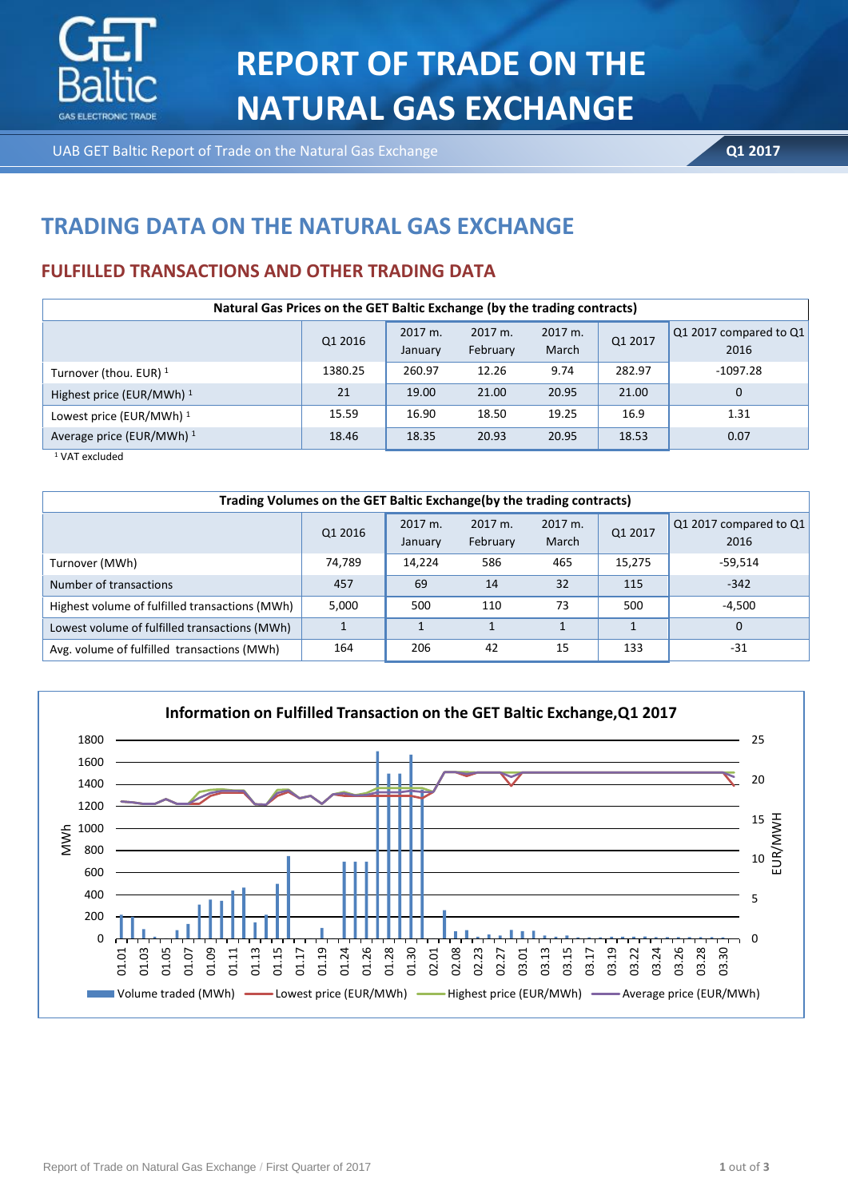

UAB GET Baltic Report of Trade on the Natural Gas Exchange **BIRZO ATASKAITA ATASKAITA COMPOSER ATASKAITA ATASKAITA Q1 2017** 

# **TRADING DATA ON THE NATURAL GAS EXCHANGE**

## **FULFILLED TRANSACTIONS AND OTHER TRADING DATA**

| Natural Gas Prices on the GET Baltic Exchange (by the trading contracts) |         |                    |                     |                  |         |                                |  |  |
|--------------------------------------------------------------------------|---------|--------------------|---------------------|------------------|---------|--------------------------------|--|--|
|                                                                          | Q1 2016 | 2017 m.<br>January | 2017 m.<br>February | 2017 m.<br>March | Q1 2017 | Q1 2017 compared to Q1<br>2016 |  |  |
| Turnover (thou. EUR) <sup>1</sup>                                        | 1380.25 | 260.97             | 12.26               | 9.74             | 282.97  | $-1097.28$                     |  |  |
| Highest price (EUR/MWh) <sup>1</sup>                                     | 21      | 19.00              | 21.00               | 20.95            | 21.00   | $\mathbf 0$                    |  |  |
| Lowest price (EUR/MWh) <sup>1</sup>                                      | 15.59   | 16.90              | 18.50               | 19.25            | 16.9    | 1.31                           |  |  |
| Average price (EUR/MWh) <sup>1</sup>                                     | 18.46   | 18.35              | 20.93               | 20.95            | 18.53   | 0.07                           |  |  |

<sup>1</sup> VAT excluded

| Trading Volumes on the GET Baltic Exchange(by the trading contracts) |         |                    |                     |                  |         |                                |  |
|----------------------------------------------------------------------|---------|--------------------|---------------------|------------------|---------|--------------------------------|--|
|                                                                      | Q1 2016 | 2017 m.<br>January | 2017 m.<br>February | 2017 m.<br>March | Q1 2017 | Q1 2017 compared to Q1<br>2016 |  |
| Turnover (MWh)                                                       | 74,789  | 14.224             | 586                 | 465              | 15,275  | -59,514                        |  |
| Number of transactions                                               | 457     | 69                 | 14                  | 32               | 115     | $-342$                         |  |
| Highest volume of fulfilled transactions (MWh)                       | 5,000   | 500                | 110                 | 73               | 500     | $-4,500$                       |  |
| Lowest volume of fulfilled transactions (MWh)                        |         |                    |                     |                  |         | 0                              |  |
| Avg. volume of fulfilled transactions (MWh)                          | 164     | 206                | 42                  | 15               | 133     | -31                            |  |

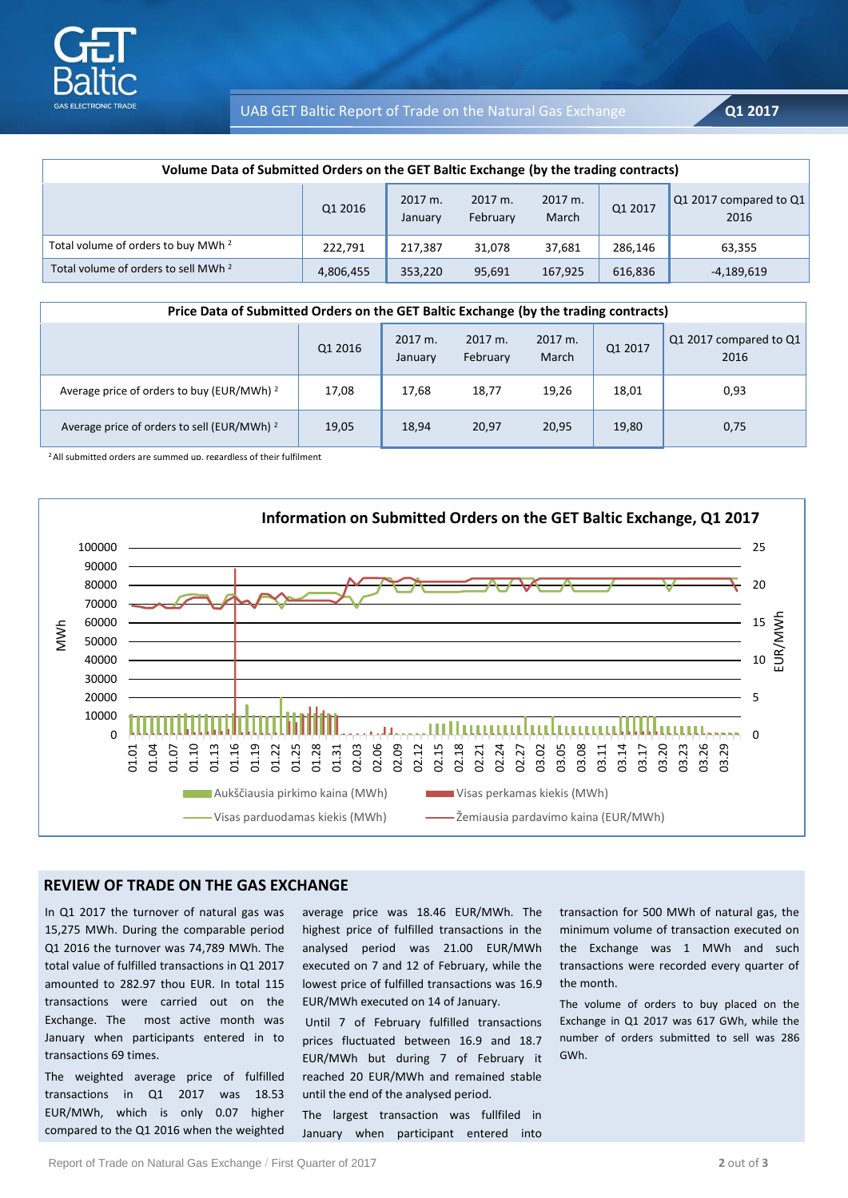

UAB GET Baltic Report of Trade on the Natural Gas Exchange **Q1 2017** 

| Volume Data of Submitted Orders on the GET Baltic Exchange (by the trading contracts) |           |                               |                     |                  |         |                                |  |
|---------------------------------------------------------------------------------------|-----------|-------------------------------|---------------------|------------------|---------|--------------------------------|--|
|                                                                                       | Q1 2016   | $2017 \text{ m}$ .<br>January | 2017 m.<br>February | 2017 m.<br>March | Q1 2017 | Q1 2017 compared to Q1<br>2016 |  |
| Total volume of orders to buy MWh <sup>2</sup>                                        | 222,791   | 217.387                       | 31,078              | 37,681           | 286,146 | 63,355                         |  |
| Total volume of orders to sell MWh <sup>2</sup>                                       | 4,806,455 | 353,220                       | 95,691              | 167,925          | 616,836 | -4,189,619                     |  |

| Price Data of Submitted Orders on the GET Baltic Exchange (by the trading contracts) |         |                    |                     |                  |         |                                |  |
|--------------------------------------------------------------------------------------|---------|--------------------|---------------------|------------------|---------|--------------------------------|--|
|                                                                                      | Q1 2016 | 2017 m.<br>January | 2017 m.<br>February | 2017 m.<br>March | Q1 2017 | Q1 2017 compared to Q1<br>2016 |  |
| Average price of orders to buy (EUR/MWh) <sup>2</sup>                                | 17,08   | 17.68              | 18,77               | 19,26            | 18,01   | 0,93                           |  |
| Average price of orders to sell (EUR/MWh) <sup>2</sup>                               | 19,05   | 18,94              | 20,97               | 20,95            | 19,80   | 0,75                           |  |

<sup>2</sup> All submitted orders are summed up, regardless of their fulfilment



#### **REVIEW OF TRADE ON THE GAS EXCHANGE**

In Q1 2017 the turnover of natural gas was 15,275 MWh. During the comparable period Q1 2016 the turnover was 74,789 MWh. The total value of fulfilled transactions in Q1 2017 amounted to 282.97 thou EUR. In total 115 transactions were carried out on the Exchange. The most active month was January when participants entered in to transactions 69 times.

The weighted average price of fulfilled transactions in Q1 2017 was 18.53 EUR/MWh, which is only 0.07 higher compared to the Q1 2016 when the weighted average price was 18.46 EUR/MWh. The highest price of fulfilled transactions in the analysed period was 21.00 EUR/MWh executed on 7 and 12 of February, while the lowest price of fulfilled transactions was 16.9 EUR/MWh executed on 14 of January.

Until 7 of February fulfilled transactions prices fluctuated between 16.9 and 18.7 EUR/MWh but during 7 of February it reached 20 EUR/MWh and remained stable until the end of the analysed period.

The largest transaction was fullfiled in January when participant entered into

transaction for 500 MWh of natural gas, the minimum volume of transaction executed on the Exchange was 1 MWh and such transactions were recorded every quarter of the month.

The volume of orders to buy placed on the Exchange in Q1 2017 was 617 GWh, while the number of orders submitted to sell was 286 GWh.